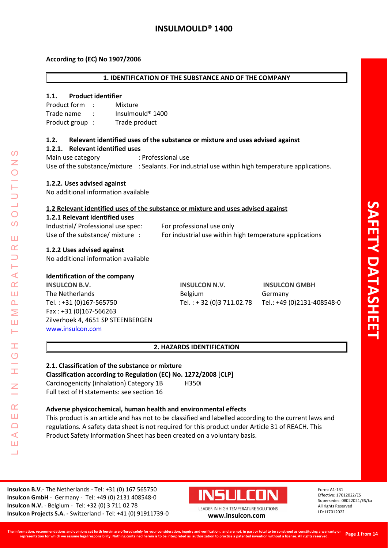### **According to (EC) No 1907/2006**

#### **1. IDENTIFICATION OF THE SUBSTANCE AND OF THE COMPANY**

#### **1.1. Product identifier**

| Product form   | Mixture                        |
|----------------|--------------------------------|
| Trade name     | Insulmould <sup>®</sup> $1400$ |
| Product group: | Trade product                  |

### **1.2. Relevant identified uses of the substance or mixture and uses advised against**

#### **1.2.1. Relevant identified uses**

Main use category : Professional use Use of the substance/mixture : Sealants. For industrial use within high temperature applications.

### **1.2.2. Uses advised against**

No additional information available

#### **1.2 Relevant identified uses of the substance or mixture and uses advised against**

#### **1.2.1 Relevant identified uses**

| Industrial/ Professional use spec: | For professional use only                               |
|------------------------------------|---------------------------------------------------------|
| Use of the substance/ mixture      | For industrial use within high temperature applications |

#### **1.2.2 Uses advised against**

No additional information available

### **Identification of the company**

LEADER IN HIGH TEMPERATURE SOLUTIONS

Ŧ  $\overline{O}$ 

 $\alpha$ Ш  $\Box$  $\blacktriangleleft$ Ш  $\overline{\phantom{0}}$ 

⋖  $\alpha$ Ш  $\overline{\mathbf{r}}$ Σ Ш H.

 $\Omega$ 

 $\overline{O}$  $\Omega$ 

ΠT  $\alpha$ 

> **INSULCON B.V. INSULCON N.V. INSULCON GMBH** The Netherlands **Belgium** Belgium Germany Tel. : +31 (0)167-565750 Tel. : + 32 (0)3 711.02.78 Tel.: +49 (0)2131-408548-0 Fax : +31 (0)167-566263 Zilverhoek 4, 4651 SP STEENBERGEN [www.insulcon.com](http://www.insulcon.com/)

#### **2. HAZARDS IDENTIFICATION**

# **2.1. Classification of the substance or mixture**

**Classification according to Regulation (EC) No. 1272/2008 [CLP]** Carcinogenicity (inhalation) Category 1B H350i Full text of H statements: see section 16

#### **Adverse physicochemical, human health and environmental effects**

This product is an article and has not to be classified and labelled according to the current laws and regulations. A safety data sheet is not required for this product under Article 31 of REACH. This Product Safety Information Sheet has been created on a voluntary basis.

**Insulcon B.V**.- The Netherlands - Tel: +31 (0) 167 565750 **Insulcon GmbH** - Germany - Tel: +49 (0) 2131 408548-0 **Insulcon N.V.** - Belgium - Tel: +32 (0) 3 711 02 78 **Insulcon Projects S.A. -** Switzerland **-** Tel: +41 (0) 91911739-0 **[www.insulcon.com](http://www.insulcon.com/)**

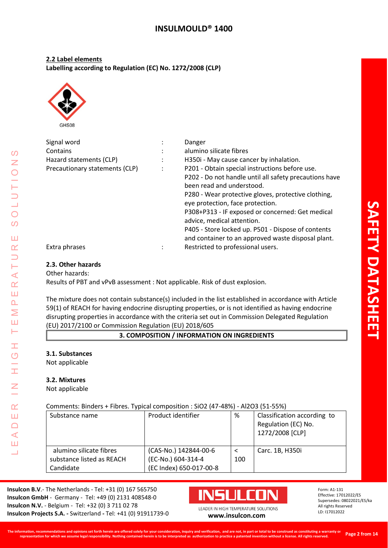**2.2 Label elements Labelling according to Regulation (EC) No. 1272/2008 (CLP)**



Signal word : Danger Contains **Contains Contains Contains Contains Contains Contains Contains Contains Contains Contains Contains Contains Contains Contains Contains Contains Contains Contains Contains Con** Hazard statements (CLP) : H350i - May cause cancer by inhalation. Precautionary statements (CLP) : P201 - Obtain special instructions before use. P202 - Do not handle until all safety precautions have been read and understood. P280 - Wear protective gloves, protective clothing, eye protection, face protection. P308+P313 - IF exposed or concerned: Get medical advice, medical attention. P405 - Store locked up. P501 - Dispose of contents and container to an approved waste disposal plant. Extra phrases The Community of the Restricted to professional users.

## **2.3. Other hazards**

Other hazards: Results of PBT and vPvB assessment : Not applicable. Risk of dust explosion.

The mixture does not contain substance(s) included in the list established in accordance with Article 59(1) of REACH for having endocrine disrupting properties, or is not identified as having endocrine disrupting properties in accordance with the criteria set out in Commission Delegated Regulation (EU) 2017/2100 or Commission Regulation (EU) 2018/605

**3. COMPOSITION / INFORMATION ON INGREDIENTS**

## **3.1. Substances**

Not applicable

## **3.2. Mixtures**

Not applicable

## Comments: Binders + Fibres. Typical composition : SiO2 (47-48%) - Al2O3 (51-55%)

| <u> 1911 - 1911 - 1961 - 1911 - 1912 - 1912 - 1916 - 1916 - 1916 - 1916 - 1916 - 1916 - 1916 - 1916 - 1</u> |                         |     |                                                                       |  |
|-------------------------------------------------------------------------------------------------------------|-------------------------|-----|-----------------------------------------------------------------------|--|
| Substance name                                                                                              | Product identifier      | %   | Classification according to<br>Regulation (EC) No.<br>1272/2008 [CLP] |  |
| alumino silicate fibres                                                                                     | (CAS-No.) 142844-00-6   |     | Carc. 1B, H350i                                                       |  |
| substance listed as REACH                                                                                   | (EC-No.) 604-314-4      | 100 |                                                                       |  |
| Candidate                                                                                                   | (EC Index) 650-017-00-8 |     |                                                                       |  |

**Insulcon B.V**.- The Netherlands - Tel: +31 (0) 167 565750 **Insulcon GmbH** - Germany - Tel: +49 (0) 2131 408548-0 **Insulcon N.V.** - Belgium - Tel: +32 (0) 3 711 02 78 **Insulcon Projects S.A. -** Switzerland **-** Tel: +41 (0) 91911739-0 **[www.insulcon.com](http://www.insulcon.com/)**



Form: A1-131 Effective: 17012022/ES Supersedes: 08022021/ES/ka All rights Reserved LD: I17012022

 $\Box$  $\blacktriangleleft$ Ш  $\overline{\phantom{0}}$ 

 $\Omega$ Z

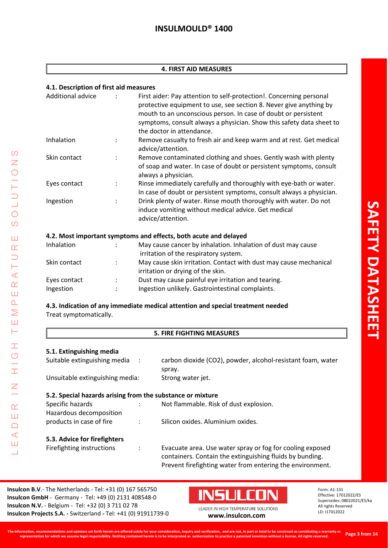#### **4. FIRST AID MEASURES**

### **4.1. Description of first aid measures**

| Additional advice |                      | First aider: Pay attention to self-protection!. Concerning personal<br>protective equipment to use, see section 8. Never give anything by<br>mouth to an unconscious person. In case of doubt or persistent<br>symptoms, consult always a physician. Show this safety data sheet to<br>the doctor in attendance. |
|-------------------|----------------------|------------------------------------------------------------------------------------------------------------------------------------------------------------------------------------------------------------------------------------------------------------------------------------------------------------------|
| Inhalation        |                      | Remove casualty to fresh air and keep warm and at rest. Get medical<br>advice/attention.                                                                                                                                                                                                                         |
| Skin contact      | $\ddot{\phantom{a}}$ | Remove contaminated clothing and shoes. Gently wash with plenty<br>of soap and water. In case of doubt or persistent symptoms, consult<br>always a physician.                                                                                                                                                    |
| Eyes contact      | $\ddot{\phantom{a}}$ | Rinse immediately carefully and thoroughly with eye-bath or water.<br>In case of doubt or persistent symptoms, consult always a physician.                                                                                                                                                                       |
| Ingestion         | $\ddot{\phantom{a}}$ | Drink plenty of water. Rinse mouth thoroughly with water. Do not<br>induce vomiting without medical advice. Get medical<br>advice/attention.                                                                                                                                                                     |
|                   |                      | 4.2. Most important symptoms and effects, both acute and delayed                                                                                                                                                                                                                                                 |

| Inhalation   |                      | May cause cancer by inhalation. Inhalation of dust may cause      |
|--------------|----------------------|-------------------------------------------------------------------|
|              |                      | irritation of the respiratory system.                             |
| Skin contact | $\ddot{\phantom{0}}$ | May cause skin irritation. Contact with dust may cause mechanical |
|              |                      | irritation or drying of the skin.                                 |
| Eyes contact | $\mathbb{R}^n$       | Dust may cause painful eye irritation and tearing.                |
| Ingestion    | ٠                    | Ingestion unlikely. Gastrointestinal complaints.                  |
|              |                      |                                                                   |

## **4.3. Indication of any immediate medical attention and special treatment needed** Treat symptomatically.

## **5. FIRE FIGHTING MEASURES**

### **5.1. Extinguishing media**

LEADER IN HIGH TEMPERATURE SOLUTIONS

H  $\overline{O}$ 

H

 $\overline{z}$ 

 $\alpha$ Ш  $\Box$  $\triangleleft$ Ш Ц

 $\Omega$  $\bar{z}$  $\bigcirc$ 

 $\bigcirc$  $\overline{O}$ 

Ш  $\alpha$  $\Box$ Н  $\prec$  $\alpha$ Ш  $\Delta$ Σ Ш Н

| J.I. LAGINGUIJIIIIIG INCUIU                                |                      |                                                                                                                                                                                    |
|------------------------------------------------------------|----------------------|------------------------------------------------------------------------------------------------------------------------------------------------------------------------------------|
| Suitable extinguishing media                               | $\cdot$ :            | carbon dioxide (CO2), powder, alcohol-resistant foam, water<br>spray.                                                                                                              |
| Unsuitable extinguishing media:                            |                      | Strong water jet.                                                                                                                                                                  |
| 5.2. Special hazards arising from the substance or mixture |                      |                                                                                                                                                                                    |
| Specific hazards<br>Hazardous decomposition                |                      | Not flammable. Risk of dust explosion.                                                                                                                                             |
| products in case of fire                                   | $\ddot{\phantom{a}}$ | Silicon oxides. Aluminium oxides.                                                                                                                                                  |
| 5.3. Advice for firefighters                               |                      |                                                                                                                                                                                    |
| Firefighting instructions                                  |                      | Evacuate area. Use water spray or fog for cooling exposed<br>containers. Contain the extinguishing fluids by bunding.<br>Prevent firefighting water from entering the environment. |

**Insulcon B.V**.- The Netherlands - Tel: +31 (0) 167 565750 **Insulcon GmbH** - Germany - Tel: +49 (0) 2131 408548-0 **Insulcon N.V.** - Belgium - Tel: +32 (0) 3 711 02 78 **Insulcon Projects S.A. -** Switzerland **-** Tel: +41 (0) 91911739-0 **[www.insulcon.com](http://www.insulcon.com/)**

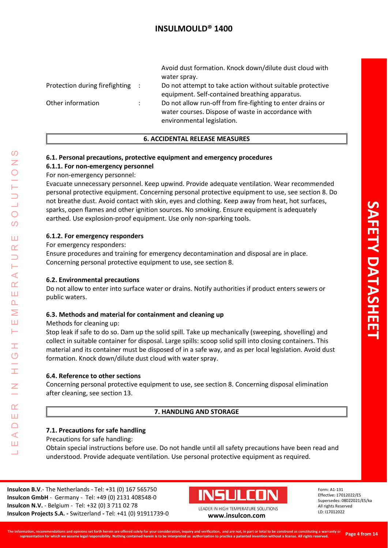|                                  |                      | Avoid dust formation. Knock down/dilute dust cloud with<br>water spray.                                                                        |
|----------------------------------|----------------------|------------------------------------------------------------------------------------------------------------------------------------------------|
| Protection during firefighting : |                      | Do not attempt to take action without suitable protective<br>equipment. Self-contained breathing apparatus.                                    |
| Other information                | $\ddot{\phantom{a}}$ | Do not allow run-off from fire-fighting to enter drains or<br>water courses. Dispose of waste in accordance with<br>environmental legislation. |

### **6. ACCIDENTAL RELEASE MEASURES**

## **6.1. Personal precautions, protective equipment and emergency procedures**

### **6.1.1. For non-emergency personnel**

### For non-emergency personnel:

Evacuate unnecessary personnel. Keep upwind. Provide adequate ventilation. Wear recommended personal protective equipment. Concerning personal protective equipment to use, see section 8. Do not breathe dust. Avoid contact with skin, eyes and clothing. Keep away from heat, hot surfaces, sparks, open flames and other ignition sources. No smoking. Ensure equipment is adequately earthed. Use explosion-proof equipment. Use only non-sparking tools.

### **6.1.2. For emergency responders**

For emergency responders:

Ensure procedures and training for emergency decontamination and disposal are in place. Concerning personal protective equipment to use, see section 8.

#### **6.2. Environmental precautions**

Do not allow to enter into surface water or drains. Notify authorities if product enters sewers or public waters.

#### **6.3. Methods and material for containment and cleaning up**

Methods for cleaning up:

LEADER IN HIGH TEMPERATURE SOLUTIONS

Ŧ  $\overline{O}$ 

 $\alpha$ Ш  $\Box$ ⋖ Ш

 $\prec$  $\alpha$ Ш  $\overline{\mathbf{r}}$ Σ Ш ⊢

 $\mathcal{O}$ 

 $\bigcirc$  $\overline{O}$ 

Ш  $\alpha$ 

> Stop leak if safe to do so. Dam up the solid spill. Take up mechanically (sweeping, shovelling) and collect in suitable container for disposal. Large spills: scoop solid spill into closing containers. This material and its container must be disposed of in a safe way, and as per local legislation. Avoid dust formation. Knock down/dilute dust cloud with water spray.

#### **6.4. Reference to other sections**

Concerning personal protective equipment to use, see section 8. Concerning disposal elimination after cleaning, see section 13.

## **7. HANDLING AND STORAGE**

#### **7.1. Precautions for safe handling**

Precautions for safe handling:

Obtain special instructions before use. Do not handle until all safety precautions have been read and understood. Provide adequate ventilation. Use personal protective equipment as required.

**Insulcon B.V**.- The Netherlands - Tel: +31 (0) 167 565750 **Insulcon GmbH** - Germany - Tel: +49 (0) 2131 408548-0 **Insulcon N.V.** - Belgium - Tel: +32 (0) 3 711 02 78 **Insulcon Projects S.A. -** Switzerland **-** Tel: +41 (0) 91911739-0 **[www.insulcon.com](http://www.insulcon.com/)**

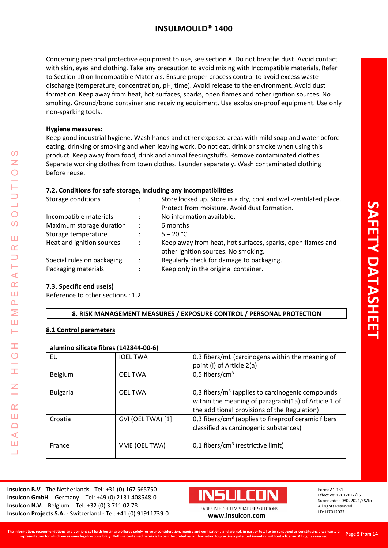Concerning personal protective equipment to use, see section 8. Do not breathe dust. Avoid contact with skin, eyes and clothing. Take any precaution to avoid mixing with Incompatible materials, Refer to Section 10 on Incompatible Materials. Ensure proper process control to avoid excess waste discharge (temperature, concentration, pH, time). Avoid release to the environment. Avoid dust formation. Keep away from heat, hot surfaces, sparks, open flames and other ignition sources. No smoking. Ground/bond container and receiving equipment. Use explosion-proof equipment. Use only non-sparking tools.

### **Hygiene measures:**

Keep good industrial hygiene. Wash hands and other exposed areas with mild soap and water before eating, drinking or smoking and when leaving work. Do not eat, drink or smoke when using this product. Keep away from food, drink and animal feedingstuffs. Remove contaminated clothes. Separate working clothes from town clothes. Launder separately. Wash contaminated clothing before reuse.

## **7.2. Conditions for safe storage, including any incompatibilities**

| Storage conditions         |                      | Store locked up. Store in a dry, cool and well-ventilated place.<br>Protect from moisture. Avoid dust formation. |
|----------------------------|----------------------|------------------------------------------------------------------------------------------------------------------|
| Incompatible materials     | ÷                    | No information available.                                                                                        |
| Maximum storage duration   | ÷                    | 6 months                                                                                                         |
| Storage temperature        |                      | $5 - 20 °C$                                                                                                      |
| Heat and ignition sources  | $\ddot{\phantom{a}}$ | Keep away from heat, hot surfaces, sparks, open flames and                                                       |
|                            |                      | other ignition sources. No smoking.                                                                              |
| Special rules on packaging | ÷                    | Regularly check for damage to packaging.                                                                         |
| Packaging materials        |                      | Keep only in the original container.                                                                             |
|                            |                      |                                                                                                                  |

## **7.3. Specific end use(s)**

LEADER IN HIGH TEMPERATURE SOLUTIONS

Ŧ  $\overline{O}$ 

I

 $\alpha$ Ш  $\Box$  $\blacktriangleleft$ Ш  $\overline{\phantom{0}}$ 

 $\prec$  $\alpha$ Ш  $\overline{\mathbf{r}}$ Σ Ш  $\vdash$ 

 $\Omega$ Z

 $\bigcirc$  $\overline{O}$ 

Ш  $\alpha$ 

Reference to other sections : 1.2.

## **8. RISK MANAGEMENT MEASURES / EXPOSURE CONTROL / PERSONAL PROTECTION**

## **8.1 Control parameters**

| alumino silicate fibres (142844-00-6) |                   |                                                        |
|---------------------------------------|-------------------|--------------------------------------------------------|
| EU                                    | <b>IOEL TWA</b>   | 0.3 fibers/mL (carcinogens within the meaning of       |
|                                       |                   | point (i) of Article 2(a)                              |
| Belgium                               | <b>OEL TWA</b>    | 0,5 fibers/ $cm3$                                      |
|                                       |                   |                                                        |
| <b>Bulgaria</b>                       | <b>OEL TWA</b>    | 0.3 fibers/ $m3$ (applies to carcinogenic compounds    |
|                                       |                   | within the meaning of paragraph(1a) of Article 1 of    |
|                                       |                   | the additional provisions of the Regulation)           |
| Croatia                               | GVI (OEL TWA) [1] | 0,3 fibers/ $cm3$ (applies to fireproof ceramic fibers |
|                                       |                   | classified as carcinogenic substances)                 |
| France                                | VME (OEL TWA)     | $0,1$ fibers/cm <sup>3</sup> (restrictive limit)       |
|                                       |                   |                                                        |

**Insulcon B.V**.- The Netherlands - Tel: +31 (0) 167 565750 **Insulcon GmbH** - Germany - Tel: +49 (0) 2131 408548-0 **Insulcon N.V.** - Belgium - Tel: +32 (0) 3 711 02 78 **Insulcon Projects S.A. -** Switzerland **-** Tel: +41 (0) 91911739-0 **[www.insulcon.com](http://www.insulcon.com/)**

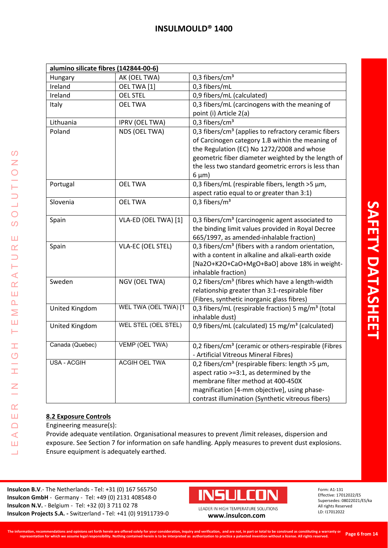| alumino silicate fibres (142844-00-6) |                          |                                                                   |
|---------------------------------------|--------------------------|-------------------------------------------------------------------|
| Hungary                               | AK (OEL TWA)             | 0,3 fibers/cm <sup>3</sup>                                        |
| Ireland                               | OEL TWA [1]              | 0,3 fibers/mL                                                     |
| Ireland                               | <b>OEL STEL</b>          | 0,9 fibers/mL (calculated)                                        |
| Italy                                 | <b>OEL TWA</b>           | 0,3 fibers/mL (carcinogens with the meaning of                    |
|                                       |                          | point (i) Article 2(a)                                            |
| Lithuania                             | <b>IPRV (OEL TWA)</b>    | 0,3 fibers/cm <sup>3</sup>                                        |
| Poland                                | NDS (OEL TWA)            | 0,3 fibers/cm <sup>3</sup> (applies to refractory ceramic fibers  |
|                                       |                          | of Carcinogen category 1.B within the meaning of                  |
|                                       |                          | the Regulation (EC) No 1272/2008 and whose                        |
|                                       |                          | geometric fiber diameter weighted by the length of                |
|                                       |                          | the less two standard geometric errors is less than               |
|                                       |                          | $6 \mu m$ )                                                       |
| Portugal                              | <b>OEL TWA</b>           | 0,3 fibers/mL (respirable fibers, length >5 µm,                   |
|                                       |                          | aspect ratio equal to or greater than 3:1)                        |
| Slovenia                              | <b>OEL TWA</b>           | 0,3 fibers/ $m3$                                                  |
|                                       |                          |                                                                   |
| Spain                                 | VLA-ED (OEL TWA) [1]     | 0,3 fibers/cm <sup>3</sup> (carcinogenic agent associated to      |
|                                       |                          | the binding limit values provided in Royal Decree                 |
|                                       |                          | 665/1997, as amended-inhalable fraction)                          |
| Spain                                 | <b>VLA-EC (OEL STEL)</b> | 0,3 fibers/cm <sup>3</sup> (fibers with a random orientation,     |
|                                       |                          | with a content in alkaline and alkali-earth oxide                 |
|                                       |                          | [Na2O+K2O+CaO+MgO+BaO] above 18% in weight-                       |
|                                       |                          | inhalable fraction)                                               |
| Sweden                                | NGV (OEL TWA)            | 0,2 fibers/cm <sup>3</sup> (fibres which have a length-width      |
|                                       |                          | relationship greater than 3:1-respirable fiber                    |
|                                       |                          | (Fibres, synthetic inorganic glass fibres)                        |
| <b>United Kingdom</b>                 | WEL TWA (OEL TWA) [1     | 0,3 fibers/mL (respirable fraction) 5 mg/m <sup>3</sup> (total    |
|                                       |                          | inhalable dust)                                                   |
| United Kingdom                        | WEL STEL (OEL STEL)      | 0,9 fibers/mL (calculated) 15 mg/m <sup>3</sup> (calculated)      |
|                                       |                          |                                                                   |
| Canada (Quebec)                       | VEMP (OEL TWA)           | 0,2 fibers/cm <sup>3</sup> (ceramic or others-respirable (Fibres  |
|                                       |                          | - Artificial Vitreous Mineral Fibres)                             |
| <b>USA - ACGIH</b>                    | <b>ACGIH OEL TWA</b>     | 0,2 fibers/cm <sup>3</sup> (respirable fibers: length >5 $\mu$ m, |
|                                       |                          | aspect ratio >=3:1, as determined by the                          |
|                                       |                          | membrane filter method at 400-450X                                |
|                                       |                          | magnification [4-mm objective], using phase-                      |
|                                       |                          | contrast illumination (Synthetic vitreous fibers)                 |

LEADER IN HIGH TEMPERATURE SOLUTIONS

 $\pm$ 

 $\frac{G}{H}$ 

 $\leq$ 

 $\alpha$ Ш  $\Box$  $\triangleleft$ Ш  $\overline{\phantom{0}}$ 

 $\Omega$  $\bar{z}$  $\bigcirc$ 

 $\frac{1}{2}$ 

 $\overline{O}$  $\overline{O}$ 

Ш  $\alpha$  $\Box$ Н  $\prec$  $\alpha$ Ш  $\Delta$ Σ Ш Н

## **8.2 Exposure Controls**

Engineering measure(s):

Provide adequate ventilation. Organisational measures to prevent /limit releases, dispersion and exposure. See Section 7 for information on safe handling. Apply measures to prevent dust explosions. Ensure equipment is adequately earthed.

**Insulcon B.V**.- The Netherlands - Tel: +31 (0) 167 565750 **Insulcon GmbH** - Germany - Tel: +49 (0) 2131 408548-0 **Insulcon N.V.** - Belgium - Tel: +32 (0) 3 711 02 78 **Insulcon N.V.** - Beigium - Tel: +32 (0) 3 711 02 78<br> **Insulcon Projects S.A.** - Switzerland - Tel: +41 (0) 91911739-0 **[www.insulcon.com](http://www.insulcon.com/)** 

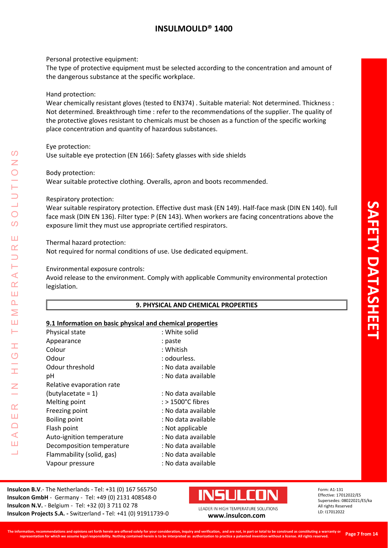Personal protective equipment:

The type of protective equipment must be selected according to the concentration and amount of the dangerous substance at the specific workplace.

Hand protection:

Wear chemically resistant gloves (tested to EN374) . Suitable material: Not determined. Thickness : Not determined. Breakthrough time : refer to the recommendations of the supplier. The quality of the protective gloves resistant to chemicals must be chosen as a function of the specific working place concentration and quantity of hazardous substances.

Eye protection:

Use suitable eye protection (EN 166): Safety glasses with side shields

Body protection:

LEADER IN HIGH TEMPERATURE SOLUTIONS

Ŧ  $\overline{C}$ 

 $\alpha$ Ш  $\Box$  $\blacktriangleleft$ Ш  $\overline{\phantom{0}}$ 

 $\blacktriangleleft$  $\underline{\alpha}$ Ш  $\overline{\mathbf{r}}$ Σ Ш  $\vdash$ 

 $\boldsymbol{\omega}$ 

 $\bigcirc$  $\Omega$ 

Ш  $\alpha$ 

Wear suitable protective clothing. Overalls, apron and boots recommended.

Respiratory protection:

Wear suitable respiratory protection. Effective dust mask (EN 149). Half-face mask (DIN EN 140). full face mask (DIN EN 136). Filter type: P (EN 143). When workers are facing concentrations above the exposure limit they must use appropriate certified respirators.

Thermal hazard protection:

Not required for normal conditions of use. Use dedicated equipment.

Environmental exposure controls:

Avoid release to the environment. Comply with applicable Community environmental protection legislation.

## **9. PHYSICAL AND CHEMICAL PROPERTIES**

#### **9.1 Information on basic physical and chemical properties**

| Physical state            | : White solid       |
|---------------------------|---------------------|
| Appearance                | : paste             |
| Colour                    | : Whitish           |
| Odour                     | : odourless.        |
| Odour threshold           | : No data available |
| рH                        | : No data available |
| Relative evaporation rate |                     |
| $(butylaceate = 1)$       | : No data available |
| Melting point             | : > 1500°C fibres   |
| Freezing point            | : No data available |
| <b>Boiling point</b>      | : No data available |
| Flash point               | : Not applicable    |
| Auto-ignition temperature | : No data available |
| Decomposition temperature | : No data available |
| Flammability (solid, gas) | : No data available |
| Vapour pressure           | : No data available |

**Insulcon B.V**.- The Netherlands - Tel: +31 (0) 167 565750 **Insulcon GmbH** - Germany - Tel: +49 (0) 2131 408548-0 **Insulcon N.V.** - Belgium - Tel: +32 (0) 3 711 02 78 **Insulcon Projects S.A. -** Switzerland **-** Tel: +41 (0) 91911739-0 **[www.insulcon.com](http://www.insulcon.com/)**

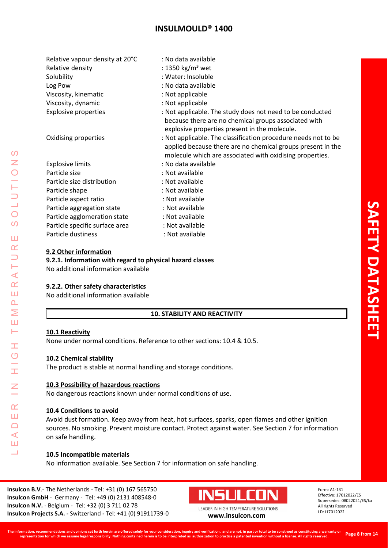| Relative vapour density at 20°C | : No data available                                                                                                                                                                       |
|---------------------------------|-------------------------------------------------------------------------------------------------------------------------------------------------------------------------------------------|
| Relative density                | : 1350 kg/m <sup>3</sup> wet                                                                                                                                                              |
| Solubility                      | : Water: Insoluble                                                                                                                                                                        |
| Log Pow                         | : No data available                                                                                                                                                                       |
| Viscosity, kinematic            | : Not applicable                                                                                                                                                                          |
| Viscosity, dynamic              | : Not applicable                                                                                                                                                                          |
| <b>Explosive properties</b>     | : Not applicable. The study does not need to be conducted<br>because there are no chemical groups associated with<br>explosive properties present in the molecule.                        |
| Oxidising properties            | : Not applicable. The classification procedure needs not to be<br>applied because there are no chemical groups present in the<br>molecule which are associated with oxidising properties. |
| <b>Explosive limits</b>         | : No data available                                                                                                                                                                       |

|                                | applied because there are no chemical groups present in the<br>molecule which are associated with oxidising properties. |
|--------------------------------|-------------------------------------------------------------------------------------------------------------------------|
| <b>Explosive limits</b>        | : No data available                                                                                                     |
| Particle size                  | : Not available                                                                                                         |
| Particle size distribution     | : Not available                                                                                                         |
| Particle shape                 | : Not available                                                                                                         |
| Particle aspect ratio          | : Not available                                                                                                         |
| Particle aggregation state     | : Not available                                                                                                         |
| Particle agglomeration state   | : Not available                                                                                                         |
| Particle specific surface area | : Not available                                                                                                         |
| Particle dustiness             | : Not available                                                                                                         |

### **9.2 Other information**

### **9.2.1. Information with regard to physical hazard classes**

No additional information available

#### **9.2.2. Other safety characteristics**

No additional information available

#### **10. STABILITY AND REACTIVITY**

#### **10.1 Reactivity**

LEADER IN HIGH TEMPERATURE SOLUTIONS

Ŧ  $\overline{O}$ 

 $\alpha$ Ш  $\Box$  $\blacktriangleleft$ Ш  $\overline{\phantom{0}}$ 

 $\prec$  $\alpha$ Ш  $\overline{\mathbf{r}}$ Σ Ш  $\vdash$ 

 $\Omega$ Z

 $\bigcirc$  $\Omega$ 

Ш  $\alpha$ 

None under normal conditions. Reference to other sections: 10.4 & 10.5.

#### **10.2 Chemical stability**

The product is stable at normal handling and storage conditions.

#### **10.3 Possibility of hazardous reactions**

No dangerous reactions known under normal conditions of use.

#### **10.4 Conditions to avoid**

Avoid dust formation. Keep away from heat, hot surfaces, sparks, open flames and other ignition sources. No smoking. Prevent moisture contact. Protect against water. See Section 7 for information on safe handling.

## **10.5 Incompatible materials**

No information available. See Section 7 for information on safe handling.

**Insulcon B.V**.- The Netherlands - Tel: +31 (0) 167 565750 **Insulcon GmbH** - Germany - Tel: +49 (0) 2131 408548-0 **Insulcon N.V.** - Belgium - Tel: +32 (0) 3 711 02 78 **Insulcon Projects S.A. -** Switzerland **-** Tel: +41 (0) 91911739-0 **[www.insulcon.com](http://www.insulcon.com/)**

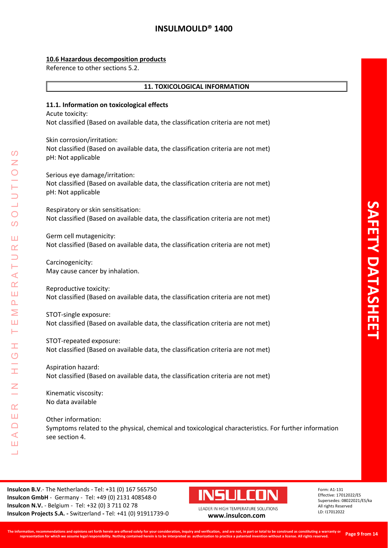### **10.6 Hazardous decomposition products**

Reference to other sections 5.2.

#### **11. TOXICOLOGICAL INFORMATION**

#### **11.1. Information on toxicological effects**

Acute toxicity: Not classified (Based on available data, the classification criteria are not met)

Skin corrosion/irritation: Not classified (Based on available data, the classification criteria are not met) pH: Not applicable

Serious eye damage/irritation: Not classified (Based on available data, the classification criteria are not met) pH: Not applicable

Respiratory or skin sensitisation: Not classified (Based on available data, the classification criteria are not met)

Germ cell mutagenicity: Not classified (Based on available data, the classification criteria are not met)

Carcinogenicity: May cause cancer by inhalation.

Reproductive toxicity: Not classified (Based on available data, the classification criteria are not met)

STOT-single exposure: Not classified (Based on available data, the classification criteria are not met)

STOT-repeated exposure: Not classified (Based on available data, the classification criteria are not met)

Aspiration hazard: Not classified (Based on available data, the classification criteria are not met)

Kinematic viscosity: No data available

Other information: Symptoms related to the physical, chemical and toxicological characteristics. For further information see section 4.

**Insulcon B.V**.- The Netherlands - Tel: +31 (0) 167 565750 **Insulcon GmbH** - Germany - Tel: +49 (0) 2131 408548-0 **Insulcon N.V.** - Belgium - Tel: +32 (0) 3 711 02 78 **Insulcon Projects S.A. -** Switzerland **-** Tel: +41 (0) 91911739-0 **[www.insulcon.com](http://www.insulcon.com/)**



LEADER IN HIGH TEMPERATURE SOLUTIONS

Form: A1-131 Effective: 17012022/ES Supersedes: 08022021/ES/ka All rights Reserved LD: I17012022

 $\Omega$ LEADER IN HIGH TEMPERATURE SOLUTIONS  $\bigcirc$  $\overline{O}$ Ш  $\alpha$  $\prec$  $\alpha$ Ш  $\overline{\mathbf{r}}$ Σ Ш  $\vdash$ Ŧ  $\overline{O}$  $\alpha$ Ш  $\Box$  $\blacktriangleleft$ Ш  $\overline{\phantom{0}}$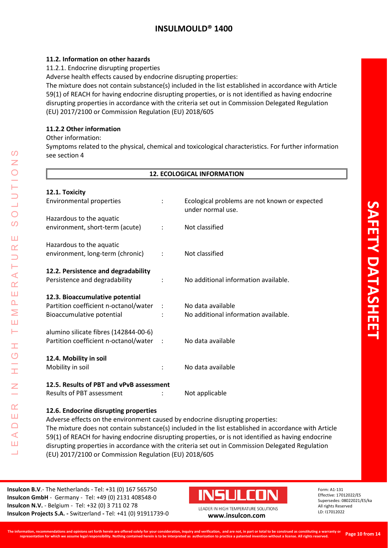## **11.2. Information on other hazards**

11.2.1. Endocrine disrupting properties

Adverse health effects caused by endocrine disrupting properties:

The mixture does not contain substance(s) included in the list established in accordance with Article 59(1) of REACH for having endocrine disrupting properties, or is not identified as having endocrine disrupting properties in accordance with the criteria set out in Commission Delegated Regulation (EU) 2017/2100 or Commission Regulation (EU) 2018/605

## **11.2.2 Other information**

Other information:

Symptoms related to the physical, chemical and toxicological characteristics. For further information see section 4

|                                          |         | <b>12. ECOLOGICAL INFORMATION</b>                                  |
|------------------------------------------|---------|--------------------------------------------------------------------|
| 12.1. Toxicity                           |         |                                                                    |
| Environmental properties                 |         | Ecological problems are not known or expected<br>under normal use. |
| Hazardous to the aquatic                 |         |                                                                    |
| environment, short-term (acute)          |         | Not classified                                                     |
| Hazardous to the aquatic                 |         |                                                                    |
| environment, long-term (chronic)         |         | Not classified                                                     |
| 12.2. Persistence and degradability      |         |                                                                    |
| Persistence and degradability            |         | No additional information available.                               |
| 12.3. Bioaccumulative potential          |         |                                                                    |
| Partition coefficient n-octanol/water    | $\cdot$ | No data available                                                  |
| Bioaccumulative potential                |         | No additional information available.                               |
| alumino silicate fibres (142844-00-6)    |         |                                                                    |
| Partition coefficient n-octanol/water    |         | No data available                                                  |
| 12.4. Mobility in soil                   |         |                                                                    |
| Mobility in soil                         |         | No data available                                                  |
| 12.5. Results of PBT and vPvB assessment |         |                                                                    |
| <b>Results of PBT assessment</b>         |         | Not applicable                                                     |

Adverse effects on the environment caused by endocrine disrupting properties: The mixture does not contain substance(s) included in the list established in accordance with Article 59(1) of REACH for having endocrine disrupting properties, or is not identified as having endocrine disrupting properties in accordance with the criteria set out in Commission Delegated Regulation (EU) 2017/2100 or Commission Regulation (EU) 2018/605

**Insulcon B.V**.- The Netherlands - Tel: +31 (0) 167 565750 **Insulcon GmbH** - Germany - Tel: +49 (0) 2131 408548-0 **Insulcon N.V.** - Belgium - Tel: +32 (0) 3 711 02 78 **Insulcon Projects S.A. -** Switzerland **-** Tel: +41 (0) 91911739-0 **[www.insulcon.com](http://www.insulcon.com/)**

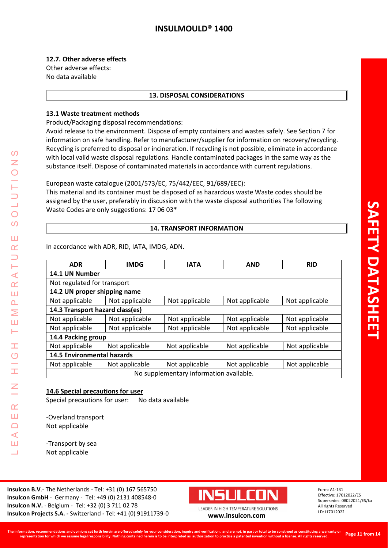### **12.7. Other adverse effects**

Other adverse effects: No data available

#### **13. DISPOSAL CONSIDERATIONS**

## **13.1 Waste treatment methods**

Product/Packaging disposal recommendations:

Avoid release to the environment. Dispose of empty containers and wastes safely. See Section 7 for information on safe handling. Refer to manufacturer/supplier for information on recovery/recycling. Recycling is preferred to disposal or incineration. If recycling is not possible, eliminate in accordance with local valid waste disposal regulations. Handle contaminated packages in the same way as the substance itself. Dispose of contaminated materials in accordance with current regulations.

### European waste catalogue (2001/573/EC, 75/442/EEC, 91/689/EEC):

This material and its container must be disposed of as hazardous waste Waste codes should be assigned by the user, preferably in discussion with the waste disposal authorities The following Waste Codes are only suggestions: 17 06 03\*

#### **14. TRANSPORT INFORMATION**

In accordance with ADR, RID, IATA, IMDG, ADN.

| <b>ADR</b>                              | <b>IMDG</b>                                        | <b>IATA</b>    | <b>AND</b>     | <b>RID</b>     |  |  |  |
|-----------------------------------------|----------------------------------------------------|----------------|----------------|----------------|--|--|--|
| 14.1 UN Number                          |                                                    |                |                |                |  |  |  |
| Not regulated for transport             |                                                    |                |                |                |  |  |  |
| 14.2 UN proper shipping name            |                                                    |                |                |                |  |  |  |
| Not applicable                          | Not applicable                                     | Not applicable | Not applicable | Not applicable |  |  |  |
| 14.3 Transport hazard class(es)         |                                                    |                |                |                |  |  |  |
| Not applicable                          | Not applicable                                     | Not applicable | Not applicable | Not applicable |  |  |  |
| Not applicable                          | Not applicable<br>Not applicable<br>Not applicable |                | Not applicable |                |  |  |  |
| 14.4 Packing group                      |                                                    |                |                |                |  |  |  |
| Not applicable                          | Not applicable                                     | Not applicable | Not applicable | Not applicable |  |  |  |
| <b>14.5 Environmental hazards</b>       |                                                    |                |                |                |  |  |  |
| Not applicable                          | Not applicable                                     | Not applicable | Not applicable | Not applicable |  |  |  |
| No supplementary information available. |                                                    |                |                |                |  |  |  |

#### **14.6 Special precautions for user**

Special precautions for user: No data available

-Overland transport Not applicable

LEADER IN HIGH TEMPERATURE SOLUTIONS

Ŧ  $\overline{O}$ 

I

 $\alpha$ Ш  $\Box$  $\blacktriangleleft$ Ш  $\overline{\phantom{0}}$ 

⋖  $\alpha$ Ш  $\overline{\mathbf{r}}$ Σ Ш Н

 $\Omega$ 

 $\bigcirc$  $\Omega$ 

Ш  $\alpha$ 

> -Transport by sea Not applicable

**Insulcon B.V**.- The Netherlands - Tel: +31 (0) 167 565750 **Insulcon GmbH** - Germany - Tel: +49 (0) 2131 408548-0 **Insulcon N.V.** - Belgium - Tel: +32 (0) 3 711 02 78 **Insulcon Projects S.A. -** Switzerland **-** Tel: +41 (0) 91911739-0 **[www.insulcon.com](http://www.insulcon.com/)**

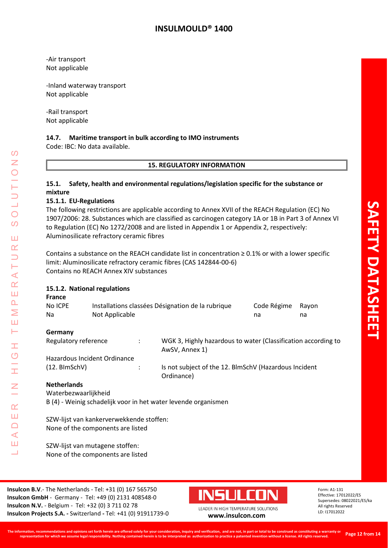-Air transport Not applicable

-Inland waterway transport Not applicable

-Rail transport Not applicable

#### **14.7. Maritime transport in bulk according to IMO instruments**

Code: IBC: No data available.

#### **15. REGULATORY INFORMATION**

#### **15.1. Safety, health and environmental regulations/legislation specific for the substance or mixture**

#### **15.1.1. EU-Regulations**

The following restrictions are applicable according to Annex XVII of the REACH Regulation (EC) No 1907/2006: 28. Substances which are classified as carcinogen category 1A or 1B in Part 3 of Annex VI to Regulation (EC) No 1272/2008 and are listed in Appendix 1 or Appendix 2, respectively: Aluminosilicate refractory ceramic fibres

Contains a substance on the REACH candidate list in concentration  $\geq 0.1\%$  or with a lower specific limit: Aluminosilicate refractory ceramic fibres (CAS 142844-00-6) Contains no REACH Annex XIV substances

### **15.1.2. National regulations**

LEADER IN HIGH TEMPERATURE SOLUTIONS

Ŧ  $\overline{C}$ 

I

Z

 $\alpha$ Ш  $\Box$  $\blacktriangleleft$ Ш ┙

 $\Omega$ Z

 $\bigcirc$  $\Omega$ 

Ш  $\alpha$  $\overline{\phantom{0}}$ Н  $\prec$  $\underline{\alpha}$ Ш  $\Delta$ Σ Ш Н

| <b>France</b><br>No ICPE<br>Na                                                | Installations classées Désignation de la rubrique<br>Not Applicable |                      |                                                                                 | Code Régime<br>na | Rayon<br>na |
|-------------------------------------------------------------------------------|---------------------------------------------------------------------|----------------------|---------------------------------------------------------------------------------|-------------------|-------------|
| Germany                                                                       |                                                                     |                      |                                                                                 |                   |             |
| Regulatory reference                                                          |                                                                     | $\ddot{\phantom{a}}$ | WGK 3, Highly hazardous to water (Classification according to<br>AwSV, Annex 1) |                   |             |
|                                                                               | Hazardous Incident Ordinance                                        |                      |                                                                                 |                   |             |
| $(12. \text{BlmSchV})$                                                        |                                                                     | $\ddot{\phantom{a}}$ | Is not subject of the 12. BlmSchV (Hazardous Incident<br>Ordinance)             |                   |             |
| <b>Netherlands</b>                                                            |                                                                     |                      |                                                                                 |                   |             |
| Waterbezwaarlijkheid                                                          |                                                                     |                      |                                                                                 |                   |             |
| B (4) - Weinig schadelijk voor in het water levende organismen                |                                                                     |                      |                                                                                 |                   |             |
| SZW-lijst van kankerverwekkende stoffen:<br>None of the components are listed |                                                                     |                      |                                                                                 |                   |             |

SZW-lijst van mutagene stoffen: None of the components are listed

**Insulcon B.V**.- The Netherlands - Tel: +31 (0) 167 565750 **Insulcon GmbH** - Germany - Tel: +49 (0) 2131 408548-0 **Insulcon N.V.** - Belgium - Tel: +32 (0) 3 711 02 78 **Insulcon Projects S.A. -** Switzerland **-** Tel: +41 (0) 91911739-0 **[www.insulcon.com](http://www.insulcon.com/)**

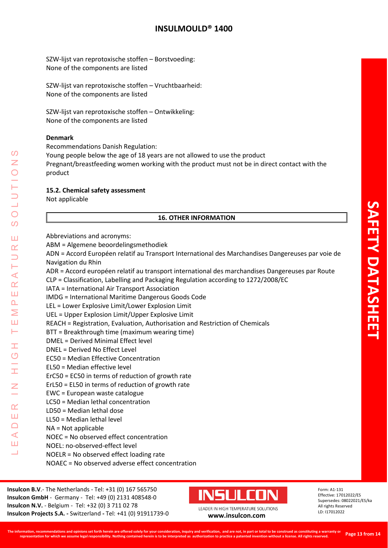SZW-lijst van reprotoxische stoffen – Borstvoeding: None of the components are listed

SZW-lijst van reprotoxische stoffen – Vruchtbaarheid: None of the components are listed

SZW-lijst van reprotoxische stoffen – Ontwikkeling: None of the components are listed

#### **Denmark**

Recommendations Danish Regulation:

Young people below the age of 18 years are not allowed to use the product

Pregnant/breastfeeding women working with the product must not be in direct contact with the product

#### **15.2. Chemical safety assessment**

Not applicable

LEADER IN HIGH TEMPERATURE SOLUTIONS

H  $\overline{O}$ 

Ŧ

 $\overline{z}$ 

 $\alpha$ Ш  $\Box$  $\triangleleft$ Ш Ц

 $\mathcal{O}$  $\overline{z}$ 

 $\bigcirc$  $\overline{O}$ 

Ш  $\alpha$  $\Box$ H  $\prec$  $\alpha$ Ш  $\Delta$ Σ Ш Н

#### **16. OTHER INFORMATION**

| Abbreviations and acronyms:                                                                       |
|---------------------------------------------------------------------------------------------------|
| ABM = Algemene beoordelingsmethodiek                                                              |
| ADN = Accord Européen relatif au Transport International des Marchandises Dangereuses par voie de |
| Navigation du Rhin                                                                                |
| ADR = Accord européen relatif au transport international des marchandises Dangereuses par Route   |
| CLP = Classification, Labelling and Packaging Regulation according to 1272/2008/EC                |
| IATA = International Air Transport Association                                                    |
| IMDG = International Maritime Dangerous Goods Code                                                |
| LEL = Lower Explosive Limit/Lower Explosion Limit                                                 |
| UEL = Upper Explosion Limit/Upper Explosive Limit                                                 |
| REACH = Registration, Evaluation, Authorisation and Restriction of Chemicals                      |
| BTT = Breakthrough time (maximum wearing time)                                                    |
| DMEL = Derived Minimal Effect level                                                               |
| DNEL = Derived No Effect Level                                                                    |
| EC50 = Median Effective Concentration                                                             |
| EL50 = Median effective level                                                                     |
| ErC50 = EC50 in terms of reduction of growth rate                                                 |
| ErL50 = EL50 in terms of reduction of growth rate                                                 |
| EWC = European waste catalogue                                                                    |
| LC50 = Median lethal concentration                                                                |
| LD50 = Median lethal dose                                                                         |
| LL50 = Median lethal level                                                                        |
| $NA = Not applicable$                                                                             |
| NOEC = No observed effect concentration                                                           |
| NOEL: no-observed-effect level                                                                    |
| $NOELR = No observed effect loading rate$                                                         |
| NOAEC = No observed adverse effect concentration                                                  |
|                                                                                                   |

**Insulcon B.V**.- The Netherlands - Tel: +31 (0) 167 565750 **Insulcon GmbH** - Germany - Tel: +49 (0) 2131 408548-0 **Insulcon N.V.** - Belgium - Tel: +32 (0) 3 711 02 78 **Insulcon Projects S.A. -** Switzerland **-** Tel: +41 (0) 91911739-0 **[www.insulcon.com](http://www.insulcon.com/)**